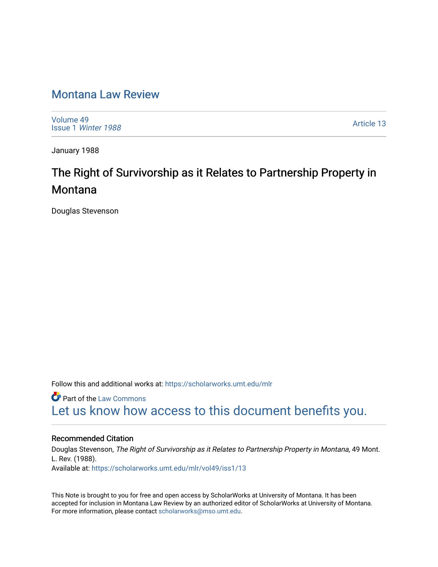## [Montana Law Review](https://scholarworks.umt.edu/mlr)

[Volume 49](https://scholarworks.umt.edu/mlr/vol49) Issue 1 [Winter 1988](https://scholarworks.umt.edu/mlr/vol49/iss1) 

[Article 13](https://scholarworks.umt.edu/mlr/vol49/iss1/13) 

January 1988

# The Right of Survivorship as it Relates to Partnership Property in **Montana**

Douglas Stevenson

Follow this and additional works at: [https://scholarworks.umt.edu/mlr](https://scholarworks.umt.edu/mlr?utm_source=scholarworks.umt.edu%2Fmlr%2Fvol49%2Fiss1%2F13&utm_medium=PDF&utm_campaign=PDFCoverPages) 

**Part of the [Law Commons](http://network.bepress.com/hgg/discipline/578?utm_source=scholarworks.umt.edu%2Fmlr%2Fvol49%2Fiss1%2F13&utm_medium=PDF&utm_campaign=PDFCoverPages)** [Let us know how access to this document benefits you.](https://goo.gl/forms/s2rGfXOLzz71qgsB2) 

## Recommended Citation

Douglas Stevenson, The Right of Survivorship as it Relates to Partnership Property in Montana, 49 Mont. L. Rev. (1988). Available at: [https://scholarworks.umt.edu/mlr/vol49/iss1/13](https://scholarworks.umt.edu/mlr/vol49/iss1/13?utm_source=scholarworks.umt.edu%2Fmlr%2Fvol49%2Fiss1%2F13&utm_medium=PDF&utm_campaign=PDFCoverPages)

This Note is brought to you for free and open access by ScholarWorks at University of Montana. It has been accepted for inclusion in Montana Law Review by an authorized editor of ScholarWorks at University of Montana. For more information, please contact [scholarworks@mso.umt.edu.](mailto:scholarworks@mso.umt.edu)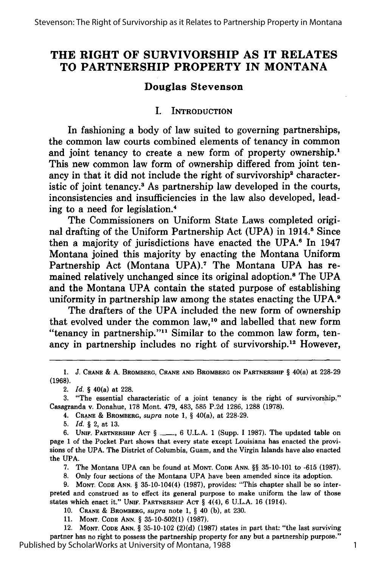## **THE RIGHT OF SURVIVORSHIP AS IT RELATES TO PARTNERSHIP PROPERTY IN MONTANA**

## **Douglas Stevenson**

#### I. **INTRODUCTION**

In fashioning a body of law suited to governing partnerships, the common law courts combined elements of tenancy in common and joint tenancy to create a new form of property ownership.<sup>1</sup> This new common law form of ownership differed from joint tenancy in that it did not include the right of survivorship<sup>2</sup> characteristic of joint tenancy.<sup>3</sup> As partnership law developed in the courts, inconsistencies and insufficiencies in the law also developed, leading to a need for legislation.4

The Commissioners on Uniform State Laws completed original drafting of the Uniform Partnership Act **(UPA)** in 1914." Since then a majority of jurisdictions have enacted the **UPA.8** In 1947 Montana joined this majority **by** enacting the Montana Uniform Partnership Act (Montana **UPA). <sup>7</sup>**The Montana **UPA** has remained relatively unchanged since its original adoption.8 The **UPA** and the Montana **UPA** contain the stated purpose of establishing uniformity in partnership law among the states enacting the **UPA. <sup>9</sup>**

The drafters of the **UPA** included the new form of ownership that evolved under the common law,10 and labelled that new form "tenancy in partnership."<sup>11</sup> Similar to the common law form, tenancy in partnership includes no right of survivorship.12 However,

*<sup>1.</sup>* J. **CRANE & A.** BROMBERG, **CRANE AND BROMBERG ON PARTNERSHIP** § 40(a) at **228-29 (1968).**

<sup>2.</sup> *Id.* § 40(a) at **228.**

**<sup>3.</sup>** "The essential characteristic of a joint tenancy is the right of survivorship." Casagranda v. Donahue, **178** Mont. 479, 483, **585 P.2d 1286, 1288 (1978).**

<sup>4.</sup> **CRANE &** BROMBERG, *supra* note **1,** § 40(a), at **228-29.**

**<sup>5.</sup>** *Id.* § 2, at **13.**

**<sup>6.</sup> UNIF.** PARTNERSHIP **ACT** § **- , 6 U.L.A. 1** (Supp. **I 1987).** The updated table on page **1** of the Pocket Part shows that every state except Louisiana has enacted the provisions of the **UPA.** The District of Columbia, Guam, and the Virgin Islands have also enacted the **UPA.**

**<sup>7.</sup>** The Montana **UPA** can be found at **MONT. CODE ANN.** §§ **35-10-101** to **-615 (1987).**

**<sup>8.</sup>** Only four sections of the Montana **UPA** have been amended since its adoption.

**<sup>9.</sup> MONT. CODE ANN.** § 35-10-104(4) **(1987),** provides: "This chapter shall be so interpreted and construed as to effect its general purpose to make uniform the law of those states which enact it." **UNIF.** PARTNERSHIP **ACT** § 4(4), **6 U.L.A. 16** (1914).

**<sup>10.</sup> CRANE & BROMBERG,** *supra* note **1,** § 40 **(b),** at **230.**

**<sup>11.</sup> MONT. CODE ANN.** § **35-10-502(1) (1987).**

<sup>12.</sup> **MONT. CODE ANN.** § **35-10-102 (2)(d) (1987)** states in part that: "the last surviving partner has no right to possess the partnership property for any but a partnership purpose." Published by ScholarWorks at University of Montana, 1988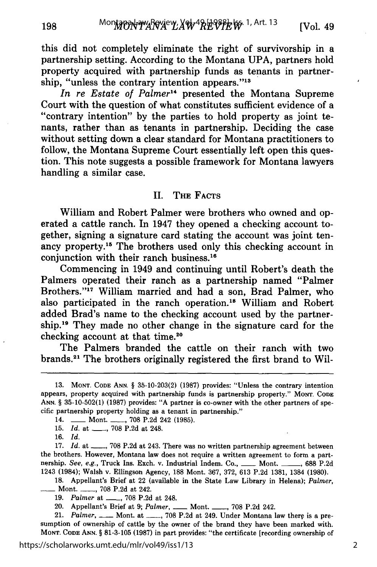this did not completely eliminate the right of survivorship in a partnership setting. According to the Montana UPA, partners hold property acquired with partnership funds as tenants in partnership, "unless the contrary intention appears."<sup>13</sup>

*In re Estate of Palmer14* presented the Montana Supreme Court with the question of what constitutes sufficient evidence of a "contrary intention" by the parties to hold property as joint tenants, rather than as tenants in partnership. Deciding the case without setting down a clear standard for Montana practitioners to follow, the Montana Supreme Court essentially left open this question. This note suggests a possible framework for Montana lawyers handling a similar case.

#### II. **THE FACTS**

William and Robert Palmer were brothers who owned and operated a cattle ranch. In 1947 they opened a checking account together, signing a signature card stating the account was joint tenancy property.15 The brothers used only this checking account in conjunction with their ranch business.16

Commencing in 1949 and continuing until Robert's death the Palmers operated their ranch as a partnership named "Palmer Brothers."<sup>17</sup> William married and had a son, Brad Palmer, who also participated in the ranch operation.18 William and Robert added Brad's name to the checking account used by the partnership.19 They made no other change in the signature card for the checking account at that time.20

The Palmers branded the cattle on their ranch with two brands.21 The brothers originally registered the first brand to Wil-

16. *Id.*

198

17. Id. at  $\_\_\_\$  708 P.2d at 243. There was no written partnership agreement between the brothers. However, Montana law does not require a written agreement to form a partnership. See, e.g., Truck Ins. Exch. v. Industrial Indem. Co., \_\_\_\_ Mont. \_\_\_\_, 688 P.2d 1243 (1984); Walsh v. Ellingson Agency, 188 Mont. 367, 372, 613 P.2d 1381, 1384 (1980).

18. Appellant's Brief at 22 (available in the State Law Library in Helena); *Palmer,* **-** Mont. \_\_, 708 P.2d at 242.

20. Appellant's Brief at 9; *Palmer*, **\_\_\_**, Mont. \_\_\_\_, 708 P.2d 242.

21. *Palmer*, \_\_\_\_ Mont. at \_\_\_\_, 708 P.2d at 249. Under Montana law there is a presumption of ownership of cattle by the owner of the brand they have been marked with. **MONT. CODE ANN.** § **81-3-105 (1987)** in part provides: "the certificate [recording ownership of

**<sup>13.</sup> MONT. CODE ANN.** § 35-10-203(2) (1987) provides: "Unless the contrary intention appears, property acquired with partnership funds is partnership property." **MONT. CODE ANN.** § 35-10-502(1) (1987) provides: **"A** partner is co-owner with the other partners of specific partnership property holding as a tenant in partnership."

<sup>14.</sup> **-- Mont. -- , 708 P.2d 242 (1985).** 

<sup>15.</sup> *Id.* at \_\_\_\_, 708 P.2d at 248.

<sup>19.</sup> *Palmer* at **\_\_,** 708 P.2d at 248.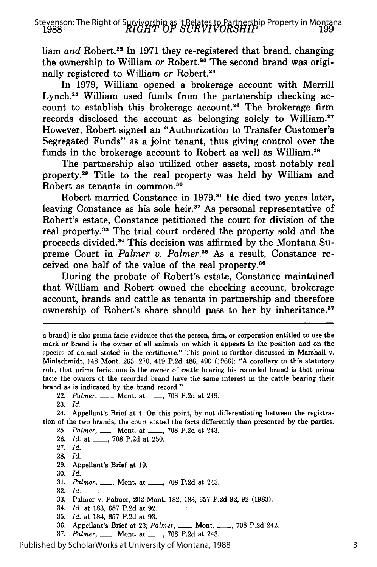liam and Robert.<sup>22</sup> In 1971 they re-registered that brand, changing the ownership to William or Robert.<sup>23</sup> The second brand was originally registered to William *or* Robert.<sup>24</sup>

In **1979,** William opened a brokerage account with Merrill Lynch.<sup>25</sup> William used funds from the partnership checking account to establish this brokerage account.<sup>26</sup> The brokerage firm records disclosed the account as belonging solely to William. However, Robert signed an "Authorization to Transfer Customer's Segregated Funds" as a joint tenant, thus giving control over the funds in the brokerage account to Robert as well as William.<sup>28</sup>

The partnership also utilized other assets, most notably real property. 29 Title to the real property was held **by** William and Robert as tenants in common.<sup>30</sup>

Robert married Constance in 1979.<sup>31</sup> He died two years later, leaving Constance as his sole heir.<sup>32</sup> As personal representative of Robert's estate, Constance petitioned the court for division of the real property.<sup>33</sup> The trial court ordered the property sold and the proceeds divided.34 This decision was affirmed **by** the Montana Supreme Court in *Palmer v. Palmer.35* As a result, Constance received one half of the value of the real property.36

During the probate of Robert's estate, Constance maintained that William and Robert owned the checking account, brokerage account, brands and cattle as tenants in partnership and therefore ownership of Robert's share should pass to her **by** inheritance.37

23. *Id.*

24. Appellant's Brief at 4. On this point, **by** not differentiating between the registration of the two brands, the court stated the facts differently than presented **by** the parties.

25. *Palmer, \_\_* Mont. at **- ,** 708 P.2d at 243.

26. *Id.* at \_\_\_\_, 708 P.2d at 250.

27. *Id.*

28. *Id.*

29. Appellant's Brief at 19.

- 30. *Id.*
- 31. *Palmer*, <u>**1** Mont. at **1** 708 P.2d at 243.</u>

32. *Id.*

- 33. Palmer v. Palmer, 202 Mont. 182, 183, 657 P.2d 92, 92 (1983).
- 34. *Id.* at 183, 657 P.2d at 92.
- 35. *Id.* at 184, 657 P.2d at 93.
- 36. Appellant's Brief at 23; *Palmer, \_\_* Mont. \_\_, 708 P.2d 242.
- 37. *Palmer.* **-** Mont. at **\_ .** 708 P.2d at 243.

Published by ScholarWorks at University of Montana, 1988

a brand] is also prima facie evidence that the person, firm, or corporation entitled to use the mark or brand is the owner of all animals on which it appears in the position and on the species of animal stated in the certificate." This point is further discussed in Marshall v. Minlschmidt, 148 Mont. 263, 270, 419 P.2d 486, 490 (1966): "A corollary to this statutory rule, that prima facie, one is the owner of cattle bearing his recorded brand is that prima facie the owners of the recorded brand have the same interest in the cattle bearing their brand as is indicated **by** the brand record."

<sup>22.</sup> *Palmer*, <u>**-- Mont.** at **---,** 708 P.2d at 249.</u>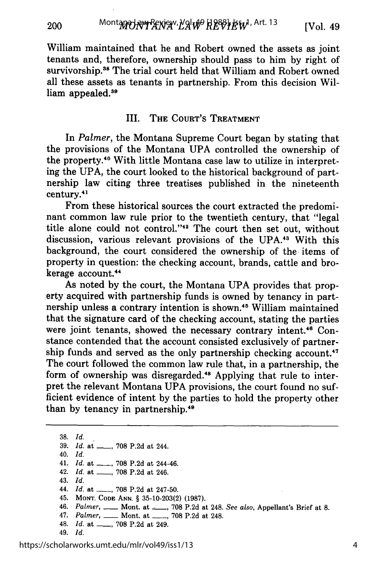William maintained that he and Robert owned the assets as joint tenants and, therefore, ownership should pass to him by right of survivorship.<sup>38</sup> The trial court held that William and Robert owned all these assets as tenants in partnership. From this decision William appealed.<sup>39</sup>

#### III. **THE** COURT'S TREATMENT

In *Palmer,* the Montana Supreme Court began by stating that the provisions of the Montana UPA controlled the ownership of the property.<sup>40</sup> With little Montana case law to utilize in interpreting the UPA, the court looked to the historical background of partnership law citing three treatises published in the nineteenth century.4'

From these historical sources the court extracted the predominant common law rule prior to the twentieth century, that "legal title alone could not control."<sup>42</sup> The court then set out, without discussion, various relevant provisions of the UPA.<sup>43</sup> With this background, the court considered the ownership of the items of property in question: the checking account, brands, cattle and brokerage account.<sup>44</sup>

As noted by the court, the Montana UPA provides that property acquired with partnership funds is owned by tenancy in partnership unless a contrary intention is shown.<sup>45</sup> William maintained that the signature card of the checking account, stating the parties were joint tenants, showed the necessary contrary intent.<sup>46</sup> Constance contended that the account consisted exclusively of partner-<br>ship funds and served as the only partnership checking account.<sup>47</sup> The court followed the common law rule that, in a partnership, the form of ownership was disregarded.<sup>48</sup> Applying that rule to interpret the relevant Montana UPA provisions, the court found no sufficient evidence of intent by the parties to hold the property other than by tenancy in partnership.49

38. *Id.* 39. *Id.* at \_\_\_, 708 P.2d at 244. 40. *Id.* 41. *Id.* at \_\_\_, 708 P.2d at 244-46. 42. *Id.* at \_\_\_, 708 P.2d at 246. 43. *Id.* 44. *Id.* at \_\_\_\_, 708 P.2d at 247-50. 45. MONT. CODE ANN. § 35-10-203(2) (1987). 46. *Palmer,* **-** Mont. at \_, 708 P.2d at 248. *See also,* Appellant's Brief at 8. 47. *Palmer*, <u>\_\_\_\_</u> Mont. at \_\_\_\_, 708 P.2d at 248. 48. *Id.* at \_\_\_, 708 P.2d at 249. 49. *Id.*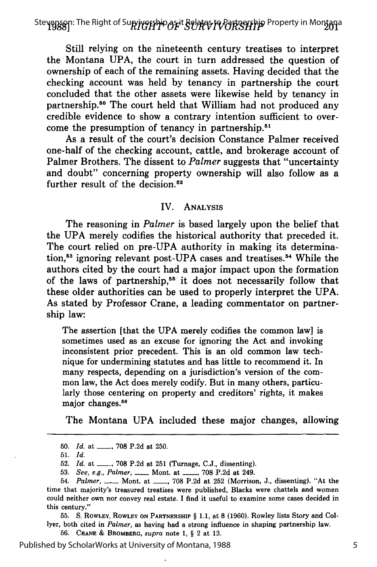*RIGHT OF SUR VIVORSHIP* **1988]** Stevenson: The Right of Survivorship as it Relates to Partnership Property in Montana

Still relying on the nineteenth century treatises to interpret the Montana **UPA,** the court in turn addressed the question of ownership of each of the remaining assets. Having decided that the checking account was held **by** tenancy in partnership the court concluded that the other assets were likewise held **by** tenancy in partnership. 50 The court held that William had not produced any credible evidence to show a contrary intention sufficient to overcome the presumption of tenancy in partnership.<sup>51</sup>

As a result of the court's decision Constance Palmer received one-half of the checking account, cattle, and brokerage account of Palmer Brothers. The dissent to *Palmer* suggests that "uncertainty and doubt" concerning property ownership will also follow as a further result of the decision.<sup>52</sup>

#### IV. ANALYSIS

The reasoning in *Palmer* is based largely upon the belief that the UPA merely codifies the historical authority that preceded it. The court relied on pre-UPA authority in making its determination,<sup>53</sup> ignoring relevant post-UPA cases and treatises.<sup>54</sup> While the authors cited by the court had a major impact upon the formation of the laws of partnership,55 it does not necessarily follow that these older authorities can be used to properly interpret the UPA. As stated by Professor Crane, a leading commentator on partnership law:

The assertion [that the UPA merely codifies the common law] is sometimes used as an excuse for ignoring the Act and invoking inconsistent prior precedent. This is an old common law technique for undermining statutes and has little to recommend it. In many respects, depending on a jurisdiction's version of the common law, the Act does merely codify. But in many others, particularly those centering on property and creditors' rights, it makes major changes.<sup>56</sup>

The Montana UPA included these major changes, allowing

51. *Id.*

52. *Id.* at \_\_, 708 P.2d at 251 (Turnage, C.J., dissenting).

53. *See, e.g., Palmer, \_\_* Mont. at **-** , 708 P.2d at 249.

**55. S. ROWLEY, ROWLEY ON PARTNERSHIP** § 1.1, at 8 (1960). Rowley lists Story and Collyer, both cited in *Palmer,* as **having** had a strong influence in shaping partnership law.

**56. CRANE & BROMBERG,** *supra* note **1,** § 2 at **13.**

Published by ScholarWorks at University of Montana, 1988

<sup>50.</sup> *Id.* at \_\_\_, 708 P.2d at 250.

<sup>54.</sup> *Palmer*, \_\_\_ Mont. at \_\_\_, 708 P.2d at 252 (Morrison, J., dissenting). "At the time that majority's treasured treatises were published, Blacks were chattels and women could neither own nor convey real estate. **I** find it useful to examine some cases decided in this century."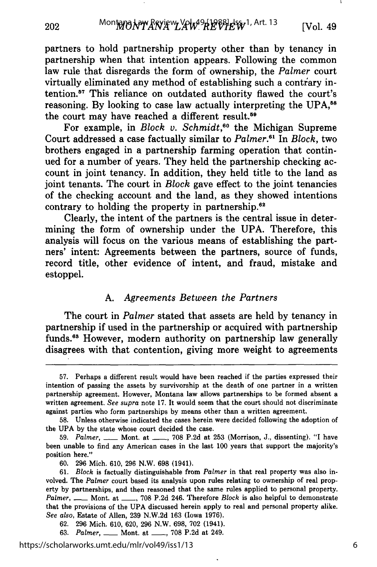partners to hold partnership property other than by tenancy in partnership when that intention appears. Following the common law rule that disregards the form of ownership, the *Palmer* court virtually eliminated any method of establishing such a contrary intention.<sup>57</sup> This reliance on outdated authority flawed the court's reasoning. By looking to case law actually interpreting the UPA,<sup>58</sup> the court may have reached a different result.59

For example, in *Block v. Schmidt*,<sup>60</sup> the Michigan Supreme Court addressed a case factually similar to *Palmer."1* In *Block,* two brothers engaged in a partnership farming operation that continued for a number of years. They held the partnership checking account in joint tenancy. In addition, they held title to the land as joint tenants. The court in *Block* gave effect to the joint tenancies of the checking account and the land, as they showed intentions contrary to holding the property in partnership.<sup>62</sup>

Clearly, the intent of the partners is the central issue in determining the form of ownership under the UPA. Therefore, this analysis will focus on the various means of establishing the partners' intent: Agreements between the partners, source of funds, record title, other evidence of intent, and fraud, mistake and estoppel.

#### A. *Agreements Between the Partners*

The court in *Palmer* stated that assets are held by tenancy in partnership if used in the partnership or acquired with partnership funds.<sup>63</sup> However, modern authority on partnership law generally disagrees with that contention, giving more weight to agreements

<sup>57.</sup> Perhaps a different result would have been reached if the parties expressed their intention of passing the assets by survivorship at the death of one partner in a written partnership agreement. However, Montana law allows partnerships to be formed absent a written agreement. *See supra* note 17. It would seem that the court should not discriminate against parties who form partnerships by means other than a written agreement.

<sup>58.</sup> Unless otherwise indicated the cases herein were decided following the adoption of the UPA by the state whose court decided the case.

<sup>59.</sup> *Palmer, \_\_* Mont. at **-** , 708 P.2d at 253 (Morrison, J., dissenting). "I have been unable to find any American cases in the last 100 years that support the majority's position here."

<sup>60. 296</sup> Mich. 610, 296 N.W. 698 (1941).

<sup>61.</sup> *Block* is factually distinguishable from *Palmer* in that real property was also involved. The *Palmer* court based its analysis upon rules relating to ownership of real property by partnerships, and then reasoned that the same rules applied to personal property. *Palmer,* **-** Mont. at **- ,** 708 P.2d 246. Therefore *Block* is also helpful to demonstrate that the provisions of the UPA discussed herein apply to real and personal property alike. *See also,* Estate of Allen, 239 N.W.2d 163 (Iowa 1976).

<sup>62. 296</sup> Mich. 610, 620, 296 N.W. 698, 702 (1941).

<sup>63.</sup> *Palmer,* **-** Mont. at **- ,** 708 P.2d at 249.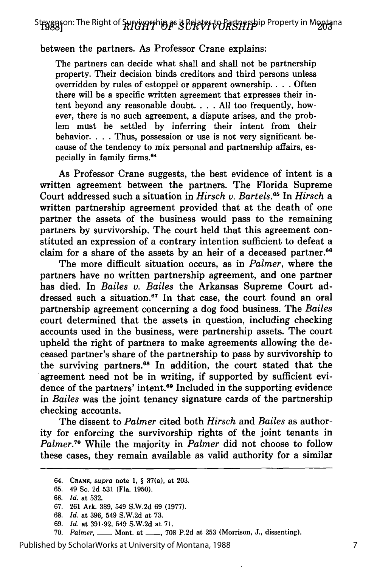St**eys**ason: The Right of **Survivorship as it Relates to Partner**ship Property in M**onta**na<br>-

## between the partners. As Professor Crane explains:

The partners can decide what shall and shall not be partnership property. Their decision binds creditors and third persons unless overridden by rules of estoppel or apparent ownership.. . . Often there will be a specific written agreement that expresses their intent beyond any reasonable doubt. . **.** . All too frequently, however, there is no such agreement, a dispute arises, and the problem must be settled by inferring their intent from their behavior. . **.** . Thus, possession or use is not very significant because of the tendency to mix personal and partnership affairs, especially in family firms.<sup>64</sup>

As Professor Crane suggests, the best evidence of intent is a written agreement between the partners. The Florida Supreme Court addressed such a situation in *Hirsch v. Bartels. <sup>5</sup>*In *Hirsch a* written partnership agreement provided that at the death of one partner the assets of the business would pass to the remaining partners by survivorship. The court held that this agreement constituted an expression of a contrary intention sufficient to defeat a claim for a share of the assets by an heir of a deceased partner.<sup>66</sup>

The more difficult situation occurs, as in *Palmer,* where the partners have no written partnership agreement, and one partner has died. In *Bailes v. Bailes* the Arkansas Supreme Court addressed such a situation.<sup>67</sup> In that case, the court found an oral partnership agreement concerning a dog food business. The *Bailes* court determined that the assets in question, including checking accounts used in the business, were partnership assets. The court upheld the right of partners to make agreements allowing the deceased partner's share of the partnership to pass by survivorship to the surviving partners.<sup>68</sup> In addition, the court stated that the agreement need not be in writing, if supported by sufficient evidence of the partners' intent.<sup>69</sup> Included in the supporting evidence in *Bailes* was the joint tenancy signature cards of the partnership checking accounts.

The dissent to *Palmer* cited both *Hirsch and Bailes* as authority for enforcing the survivorship rights of the joint tenants in *Palmer.70* While the majority in *Palmer* did not choose to follow these cases, they remain available as valid authority for a similar

- 69. *Id.* at 391-92, 549 S.W.2d at 71.
- 70. *Palmer,* **-** Mont. at **-** , 708 **P.2d** at **253** (Morrison, **J.,** dissenting).

Published by ScholarWorks at University of Montana, 1988

<sup>64.</sup> **CRANE,** *supra* note 1, § 37(a), at 203.

<sup>65. 49</sup> So. 2d 531 (Fla. 1950).

<sup>66.</sup> *Id.* at 532.

<sup>67. 261</sup> Ark. 389, 549 S.W.2d 69 (1977).

<sup>68.</sup> *Id.* at 396, 549 S.W.2d at 73.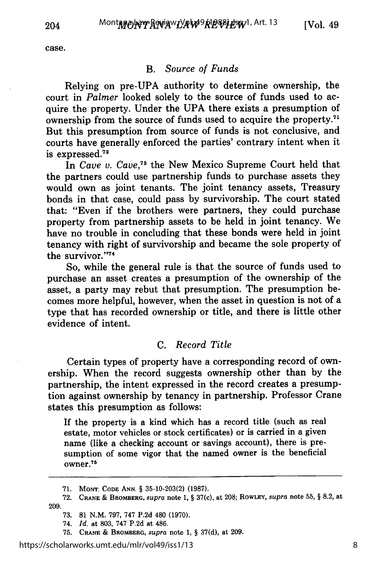case.

## B. *Source of Funds*

Relying on pre-UPA authority to determine ownership, the court in *Palmer* looked solely to the source of funds used to acquire the property. Under the UPA there exists a presumption of ownership from the source of funds used to acquire the property."1 But this presumption from source of funds is not conclusive, and courts have generally enforced the parties' contrary intent when it is expressed. $72$ 

In *Cave v. Cave,73* the New Mexico Supreme Court held that the partners could use partnership funds to purchase assets they would own as joint tenants. The joint tenancy assets, Treasury bonds in that case, could pass by survivorship. The court stated that: "Even if the brothers were partners, they could purchase property from partnership assets to be held in joint tenancy. We have no trouble in concluding that these bonds were held in joint tenancy with right of survivorship and became the sole property of the survivor.''74

So, while the general rule is that the source of funds used to purchase an asset creates a presumption of the ownership of the asset, a party may rebut that presumption. The presumption becomes more helpful, however, when the asset in question is not of a type that has recorded ownership or title, and there is little other evidence of intent.

## C. *Record Title*

Certain types of property have a corresponding record of ownership. When the record suggests ownership other than by the partnership, the intent expressed in the record creates a presumption against ownership by tenancy in partnership. Professor Crane states this presumption as follows:

If the property is a kind which has a record title (such as real estate, motor vehicles or stock certificates) or is carried in a given name (like a checking account or savings account), there is presumption of some vigor that the named owner is the beneficial  $over.^{75}$ 

**<sup>71.</sup> MONT. CODE ANN.** § 35-10-203(2) (1987).

<sup>72.</sup> **CRANE** & **BROMBERG,** *supra* note 1, § 37(c), at 208; **ROWLEY,** *supra* note 55, § 8.2, at 209.

<sup>73.</sup> **81** N.M. 797, 747 P.2d 480 (1970).

<sup>74.</sup> *Id.* at 803, 747 P.2d at 486.

<sup>75.</sup> **CRANE & BROMBERG,** supra note **1,** § 37(d), at **209.**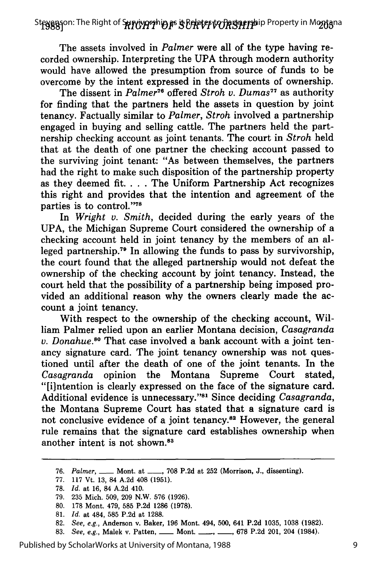St**eyggs**on: The Right of S**prrivarthio as is Belates to Partnershi**p Property in Mo**nta**na

The assets involved in *Palmer* were all of the type having recorded ownership. Interpreting the UPA through modern authority would have allowed the presumption from source of funds to be overcome by the intent expressed in the documents of ownership.

The dissent in *Palmer76* offered *Stroh v. Dumas77* as authority for finding that the partners held the assets in question by joint tenancy. Factually similar to *Palmer, Stroh* involved a partnership engaged in buying and selling cattle. The partners held the partnership checking account as joint tenants. The court in *Stroh* held that at the death of one partner the checking account passed to the surviving joint tenant: "As between themselves, the partners had the right to make such disposition of the partnership property as they deemed fit. . **.** . The Uniform Partnership Act recognizes this right and provides that the intention and agreement of the parties is to control."78

In *Wright v. Smith,* decided during the early years of the UPA, the Michigan Supreme Court considered the ownership of a checking account held in joint tenancy by the members of an alleged partnership.<sup>79</sup> In allowing the funds to pass by survivorship, the court found that the alleged partnership would not defeat the ownership of the checking account by joint tenancy. Instead, the court held that the possibility of a partnership being imposed provided an additional reason why the owners clearly made the account a joint tenancy.

With respect to the ownership of the checking account, William Palmer relied upon an earlier Montana decision, *Casagranda v. Donahue.80* That case involved a bank account with a joint tenancy signature card. The joint tenancy ownership was not questioned until after the death of one of the joint tenants. In the *Casagranda* opinion the Montana Supreme Court stated, "[i]ntention is clearly expressed on the face of the signature card. Additional evidence is unnecessary."<sup>81</sup> Since deciding *Casagranda*, the Montana Supreme Court has stated that a signature card is not conclusive evidence of a joint tenancy.<sup>82</sup> However, the general rule remains that the signature card establishes ownership when another intent is not shown.<sup>83</sup>

- 82. *See, e.g.,* Anderson v. Baker, 196 Mont. 494, 500, 641 P.2d 1035, 1038 (1982).
- 83. *See, e.g., Malek v. Patten, <u>-</u>* Mont. <sub>---</sub>, \_\_, 678 P.2d 201, 204 (1984).

<sup>76.</sup> *Palmer*, \_\_\_ Mont. at \_\_\_, 708 P.2d at 252 (Morrison, J., dissenting).

<sup>77. 117</sup> Vt. 13, 84 A.2d 408 (1951).

<sup>78.</sup> *Id.* at 16, 84 A.2d 410.

<sup>79. 235</sup> Mich. 509, 209 N.W. 576 (1926).

<sup>80. 178</sup> Mont. 479, 585 P.2d 1286 (1978).

<sup>81.</sup> *Id.* at 484, 585 P.2d at 1288.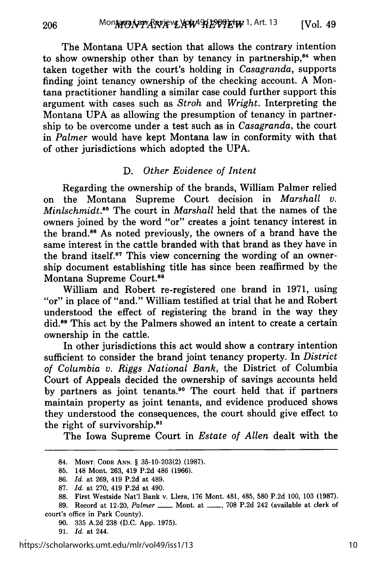The Montana UPA section that allows the contrary intention to show ownership other than by tenancy in partnership,<sup>84</sup> when taken together with the court's holding in *Casagranda,* supports finding joint tenancy ownership of the checking account. A Montana practitioner handling a similar case could further support this argument with cases such as *Stroh* and *Wright.* Interpreting the Montana UPA as allowing the presumption of tenancy in partnership to be overcome under a test such as in *Casagranda,* the court in *Palmer* would have kept Montana law in conformity with that of other jurisdictions which adopted the UPA.

## D. *Other Evidence of Intent*

Regarding the ownership of the brands, William Palmer relied on the Montana Supreme Court decision in *Marshall v. Minlschmidt.<sup>85</sup>* The court in *Marshall* held that the names of the owners joined by the word "or" creates a joint tenancy interest in the brand.86 As noted previously, the owners of a brand have the same interest in the cattle branded with that brand as they have in the brand itself.<sup>87</sup> This view concerning the wording of an ownership document establishing title has since been reaffirmed by the Montana Supreme Court.<sup>88</sup>

William and Robert re-registered one brand in 1971, using "or" in place of "and." William testified at trial that he and Robert understood the effect of registering the brand in the way they did.<sup>89</sup> This act by the Palmers showed an intent to create a certain ownership in the cattle.

In other jurisdictions this act would show a contrary intention sufficient to consider the brand joint tenancy property. In *District of Columbia v. Riggs National Bank,* the District of Columbia Court of Appeals decided the ownership of savings accounts held by partners as joint tenants.<sup>90</sup> The court held that if partners maintain property as joint tenants, and evidence produced shows they understood the consequences, the court should give effect to the right of survivorship.91

The Iowa Supreme Court in *Estate of Allen* dealt with the

89. Record at 12-20, *Palmer* \_\_\_\_ Mont. at \_\_\_, 708 P.2d 242 (available at clerk of court's office in Park County).

<sup>84.</sup> **MONT. CODE ANN.** § 35-10-203(2) (1987).

**<sup>85.</sup>** 148 Mont. **263,** 419 **P.2d** 486 **(1966).**

**<sup>86.</sup>** *Id.* at **269,** 419 **P.2d** at 489.

**<sup>87.</sup>** *Id.* at **270,** 419 **P.2d** at 490.

**<sup>88.</sup>** First Westside Nat'l Bank v. Llera, **176** Mont. 481, 485, **580 P.2d 100, 103 (1987).**

**<sup>90. 335</sup> A.2d 238 (D.C. App. 1975).**

**<sup>91.</sup>** *Id.* at 244.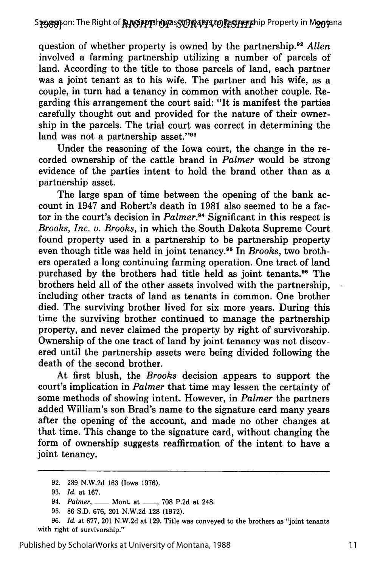question of whether property is owned by the partnership.<sup>92</sup> Allen involved a farming partnership utilizing a number of parcels of land. According to the title to those parcels of land, each partner was a joint tenant as to his wife. The partner and his wife, as a couple, in turn had a tenancy in common with another couple. Regarding this arrangement the court said: "It is manifest the parties carefully thought out and provided for the nature of their ownership in the parcels. The trial court was correct in determining the land was not a partnership asset."<sup>93</sup>

Under the reasoning of the Iowa court, the change in the recorded ownership of the cattle brand in *Palmer* would be strong evidence of the parties intent to hold the brand other than as a partnership asset.

The large span of time between the opening of the bank account in 1947 and Robert's death in 1981 also seemed to be a factor in the court's decision in *Palmer."4* Significant in this respect is *Brooks, Inc. v. Brooks,* in which the South Dakota Supreme Court found property used in a partnership to be partnership property even though title was held in joint tenancy.<sup>95</sup> In *Brooks*, two brothers operated a long continuing farming operation. One tract of land purchased by the brothers had title held as joint tenants.<sup>96</sup> The brothers held all of the other assets involved with the partnership, including other tracts of land as tenants in common. One brother died. The surviving brother lived for six more years. During this time the surviving brother continued to manage the partnership property, and never claimed the property by right of survivorship. Ownership of the one tract of land by joint tenancy was not discovered until the partnership assets were being divided following the death of the second brother.

At first blush, the *Brooks* decision appears to support the court's implication in *Palmer* that time may lessen the certainty of some methods of showing intent. However, in *Palmer* the partners added William's son Brad's name to the signature card many years after the opening of the account, and made no other changes at that time. This change to the signature card, without changing the form of ownership suggests reaffirmation of the intent to have a joint tenancy.

95. 86 S.D. 676, 201 N.W.2d 128 (1972).

<sup>92. 239</sup> N.W.2d 163 (Iowa 1976).

<sup>93.</sup> *Id.* at 167.

<sup>94.</sup> *Palmer*, <u>**-- Mont.** at **--**, 708 P.2d at 248.</u>

<sup>96.</sup> *Id.* at 677, 201 N.W.2d at 129. Title was conveyed to the brothers as "joint tenants with right of survivorship."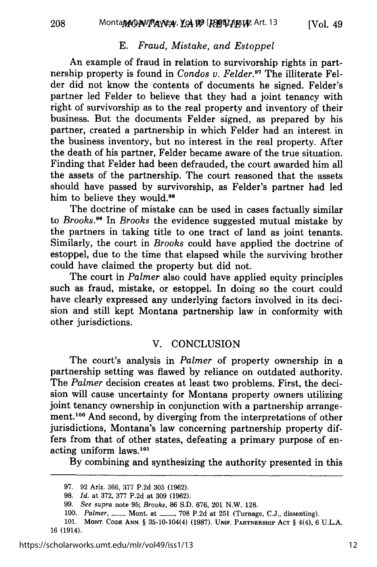208

## E. *Fraud, Mistake, and Estoppel*

An example of fraud in relation to survivorship rights in partnership property is found in *Condos v. Felder*.<sup>97</sup> The illiterate Felder did not know the contents of documents he signed. Felder's partner led Felder to believe that they had a joint tenancy with right of survivorship as to the real property and inventory of their business. But the documents Felder signed, as prepared by his partner, created a partnership in which Felder had an interest in the business inventory, but no interest in the real property. After the death of his partner, Felder became aware of the true situation. Finding that Felder had been defrauded, the court awarded him all the assets of the partnership. The court reasoned that the assets should have passed by survivorship, as Felder's partner had led him to believe they would.<sup>98</sup>

The doctrine of mistake can be used in cases factually similar to *Brooks.9 9* In *Brooks* the evidence suggested mutual mistake by the partners in taking title to one tract of land as joint tenants. Similarly, the court in *Brooks* could have applied the doctrine of estoppel, due to the time that elapsed while the surviving brother could have claimed the property but did not.

The court in *Palmer* also could have applied equity principles such as fraud, mistake, or estoppel. In doing so the court could have clearly expressed any underlying factors involved in its decision and still kept Montana partnership law in conformity with other jurisdictions.

## V. CONCLUSION

The court's analysis in *Palmer* of property ownership in a partnership setting was flawed by reliance on outdated authority. The *Palmer* decision creates at least two problems. First, the decision will cause uncertainty for Montana property owners utilizing joint tenancy ownership in conjunction with a partnership arrangement.100 And second, by diverging from the interpretations of other jurisdictions, Montana's law concerning partnership property differs from that of other states, defeating a primary purpose of enacting uniform laws.<sup>101</sup>

**By** combining and synthesizing the authority presented in this

**<sup>97. 92</sup>** Ariz. **366, 377 P.2d 305 (1962).**

**<sup>98.</sup>** *Id.* at **372, 377 P.2d** at **309 (1962).**

**<sup>99.</sup>** *See supra* note **95;** Brooks, **86 S.D. 676, 201 N.W. 128.**

**<sup>100.</sup>** *Palmer, \_\_* Mont. at **\_\_, 708 P.2d** at **251** (Turnage, **C.J.,** dissenting).

**<sup>101.</sup> MONT. CODE ANN.** § 35-10-104(4) **(1987). UNIF. PARTNERSHIP ACT** § **4(4), 6 U.L.A. 16** (1914).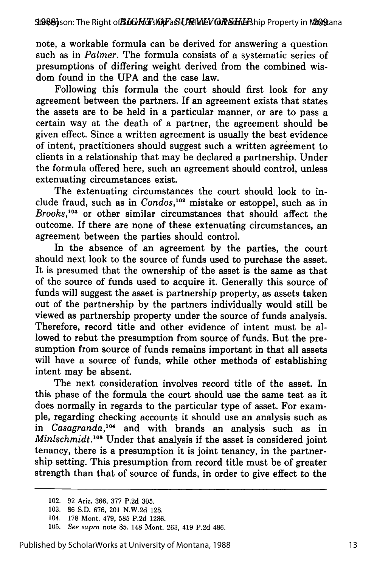note, a workable formula can be derived for answering a question such as in *Palmer.* The formula consists of a systematic series of presumptions of differing weight derived from the combined wisdom found in the UPA and the case law.

Following this formula the court should first look for any agreement between the partners. If an agreement exists that states the assets are to be held in a particular manner, or are to pass a certain way at the death of a partner, the agreement should be given effect. Since a written agreement is usually the best evidence of intent, practitioners should suggest such a written agreement to clients in a relationship that may be declared a partnership. Under the formula offered here, such an agreement should control, unless extenuating circumstances exist.

The extenuating circumstances the court should look to include fraud, such as in *Condos,"2* mistake or estoppel, such as in *Brooks,103* or other similar circumstances that should affect the outcome. If there are none of these extenuating circumstances, an agreement between the parties should control.

In the absence of an agreement by the parties, the court should next look to the source of funds used to purchase the asset. It is presumed that the ownership of the asset is the same as that of the source of funds used to acquire it. Generally this source of funds will suggest the asset is partnership property, as assets taken out of the partnership by the partners individually would still be viewed as partnership property under the source of funds analysis. Therefore, record title and other evidence of intent must be allowed to rebut the presumption from source of funds. But the presumption from source of funds remains important in that all assets will have a source of funds, while other methods of establishing intent may be absent.

The next consideration involves record title of the asset. In this phase of the formula the court should use the same test as it does normally in regards to the particular type of asset. For example, regarding checking accounts it should use an analysis such as in *Casagranda,04* and with brands an analysis such as in *Minlschmidt.*<sup>105</sup> Under that analysis if the asset is considered joint tenancy, there is a presumption it is joint tenancy, in the partnership setting. This presumption from record title must be of greater strength than that of source of funds, in order to give effect to the

<sup>102. 92</sup> Ariz. 366, 377 P.2d 305.

<sup>103. 86</sup> S.D. 676, 201 N.W.2d 128.

<sup>104. 178</sup> Mont. 479, 585 P.2d 1286.

<sup>105.</sup> *See supra* note 85. 148 Mont. 263, 419 P.2d 486.